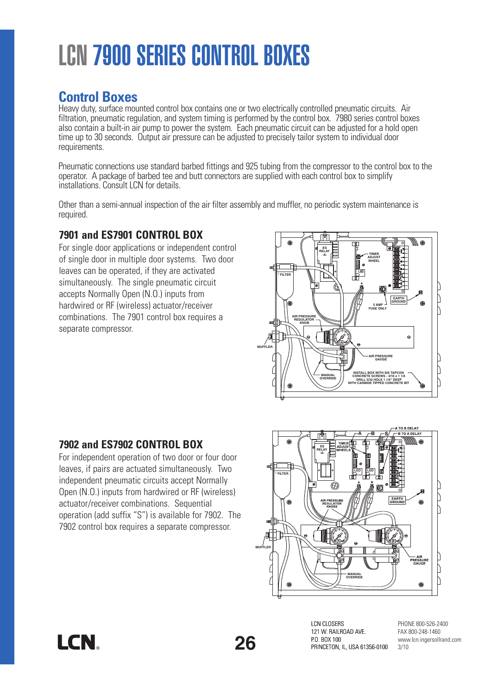# LCN7900 SERIES CONTROL BOXES

## **Control Boxes**

Heavy duty, surface mounted control box contains one or two electrically controlled pneumatic circuits. Air filtration, pneumatic regulation, and system timing is performed by the control box. 7980 series control boxes also contain a built-in air pump to power the system. Each pneumatic circuit can be adjusted for a hold open time up to 30 seconds. Output air pressure can be adjusted to precisely tailor system to individual door requirements.

Pneumatic connections use standard barbed fittings and 925 tubing from the compressor to the control box to the operator. A package of barbed tee and butt connectors are supplied with each control box to simplify installations. Consult LCN for details.

Other than a semi-annual inspection of the air filter assembly and muffler, no periodic system maintenance is required.

## **7901 and ES7901 CONTROL BOX**

For single door applications or independent control of single door in multiple door systems. Two door leaves can be operated, if they are activated simultaneously. The single pneumatic circuit accepts Normally Open (N.O.) inputs from hardwired or RF (wireless) actuator/receiver combinations. The 7901 control box requires a separate compressor.



### **7902 and ES7902 CONTROL BOX**

For independent operation of two door or four door leaves, if pairs are actuated simultaneously. Two independent pneumatic circuits accept Normally Open (N.O.) inputs from hardwired or RF (wireless) actuator/receiver combinations. Sequential operation (add suffix "S") is available for 7902. The 7902 control box requires a separate compressor.



LCN CLOSERS 121 W. RAILROAD AVE. **P.O. BOX 100** PRINCETON, IL, USA 61356-0100<br>PRINCETON, IL, USA 61356-0100 3/10<br>**26 26 20 210 210 210 210 210 210** 

PHONE 800-526-2400 FAX 800-248-1460<br>www.lcn.ingersollrand.com

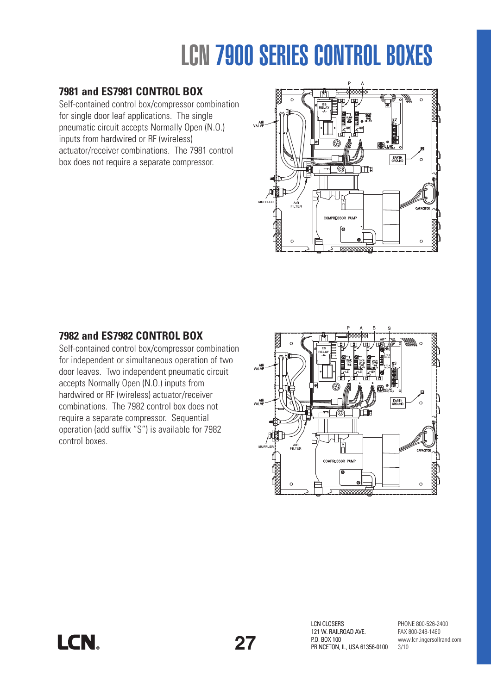# LCN7900 SERIES CONTROL BOXES

## **7981 and ES7981 CONTROL BOX**

Self-contained control box/compressor combination for single door leaf applications. The single pneumatic circuit accepts Normally Open (N.O.) inputs from hardwired or RF (wireless) actuator/receiver combinations. The 7981 control box does not require a separate compressor.



#### **7982 and ES7982 CONTROL BOX**

Self-contained control box/compressor combination for independent or simultaneous operation of two door leaves. Two independent pneumatic circuit accepts Normally Open (N.O.) inputs from hardwired or RF (wireless) actuator/receiver combinations. The 7982 control box does not require a separate compressor. Sequential operation (add suffix "S") is available for 7982 control boxes.



LCN CLOSERS 121 W. RAILROAD AVE. P.O. BOX 100 121 W. RAILROAD AVE.<br>
P.O. BOX 100 www.lcn.ingersollrand.com<br>
PRINCETON, IL, USA 61356-0100 3/10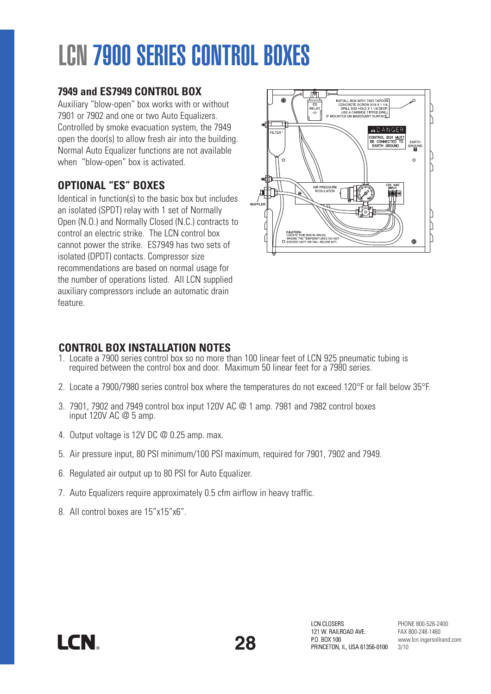# LCN7900 SERIES CONTROL BOXES

## **7949 and ES7949 CONTROL BOX**

Auxiliary "blow-open" box works with or without 7901 or 7902 and one or two Auto Equalizers. Controlled by smoke evacuation system, the 7949 open the door(s) to allow fresh air into the building. Normal Auto Equalizer functions are not available when "blow-open" box is activated.

## **OPTIONAL "ES" BOXES**

Identical in function(s) to the basic box but includes an isolated (SPDT) relay with 1 set of Normally Open (N.O.) and Normally Closed (N.C.) contracts to control an electric strike. The LCN control box cannot power the strike. ES7949 has two sets of isolated (DPDT) contacts. Compressor size recommendations are based on normal usage for the number of operations listed. All LCN supplied auxiliary compressors include an automatic drain feature.



## **CONTROL BOX INSTALLATION NOTES**

- 1. Locate a 7900 series control box so no more than 100 linear feet of LCN 925 pneumatic tubing is required between the control box and door. Maximum 50 linear feet for a 7980 series.
- 2. Locate a 7900/7980 series control box where the temperatures do not exceed 120°F or fall below 35°F.
- 3. 7901, 7902 and 7949 control box input 120V AC @ 1 amp. 7981 and 7982 control boxes input 120V AC @ 5 amp.
- 4. Output voltage is 12V DC @ 0.25 amp. max.
- 5. Air pressure input, 80 PSI minimum/100 PSI maximum, required for 7901, 7902 and 7949.
- 6. Regulated air output up to 80 PSI for Auto Equalizer.
- 7. Auto Equalizers require approximately 0.5 cfm airflow in heavy traffic.
- 8. All control boxes are 15"x15"x6".

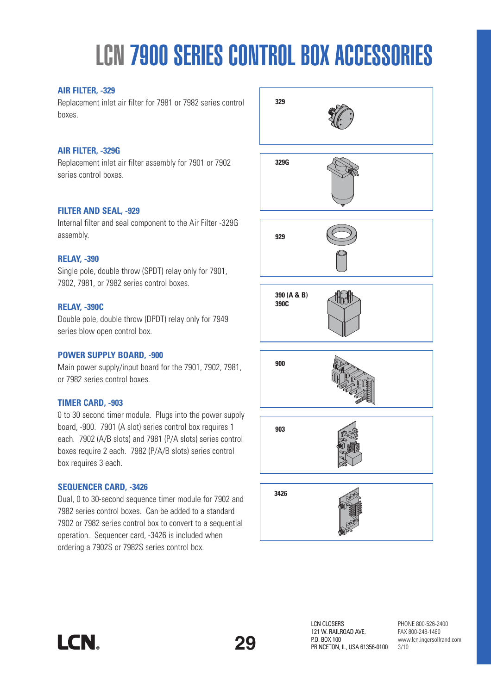# LCN7900 SERIES CONTROL BOX ACCESSORIES

#### **AIR FILTER, -329**

Replacement inlet air filter for 7981 or 7982 series control boxes.

#### **AIR FILTER, -329G**

Replacement inlet air filter assembly for 7901 or 7902 series control boxes.

#### **FILTER AND SEAL, -929**

Internal filter and seal component to the Air Filter -329G assembly.

#### **RELAY, -390**

Single pole, double throw (SPDT) relay only for 7901, 7902, 7981, or 7982 series control boxes.

#### **RELAY, -390C**

Double pole, double throw (DPDT) relay only for 7949 series blow open control box.

#### **POWER SUPPLY BOARD, -900**

Main power supply/input board for the 7901, 7902, 7981, or 7982 series control boxes.

#### **TIMER CARD, -903**

0 to 30 second timer module. Plugs into the power supply board, -900. 7901 (A slot) series control box requires 1 each. 7902 (A/B slots) and 7981 (P/A slots) series control boxes require 2 each. 7982 (P/A/B slots) series control box requires 3 each.

#### **SEQUENCER CARD, -3426**

Dual, 0 to 30-second sequence timer module for 7902 and 7982 series control boxes. Can be added to a standard 7902 or 7982 series control box to convert to a sequential operation. Sequencer card, -3426 is included when ordering a 7902S or 7982S series control box.



I CN

LCN CLOSERS 121 W. RAILROAD AVE. P.O. BOX 100 PRINCETON, IL, USA 61356-0100 3/10<br>PRINCETON, IL, USA 61356-0100 3/10<br>**PRINCETON**, IL, USA 61356-0100 3/10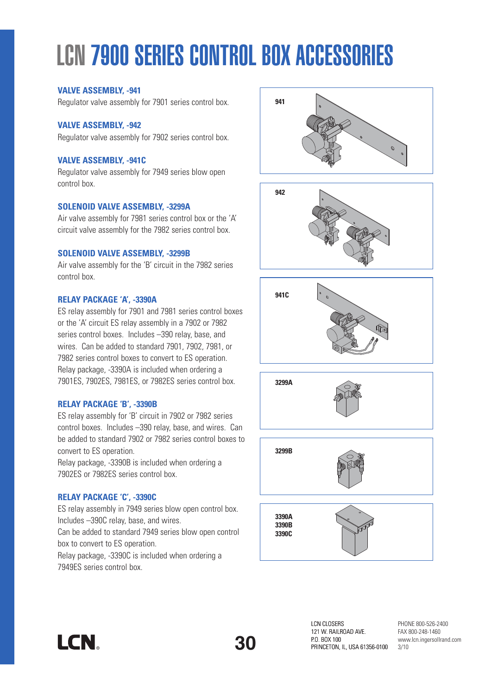# LCN7900 SERIES CONTROL BOX ACCESSORIES

#### **VALVE ASSEMBLY, -941**

Regulator valve assembly for 7901 series control box.

#### **VALVE ASSEMBLY, -942**

Regulator valve assembly for 7902 series control box.

#### **VALVE ASSEMBLY, -941C**

Regulator valve assembly for 7949 series blow open control box.

#### **SOLENOID VALVE ASSEMBLY, -3299A**

Air valve assembly for 7981 series control box or the 'A' circuit valve assembly for the 7982 series control box.

#### **SOLENOID VALVE ASSEMBLY, -3299B**

Air valve assembly for the 'B' circuit in the 7982 series control box.

#### **RELAY PACKAGE 'A', -3390A**

ES relay assembly for 7901 and 7981 series control boxes or the 'A' circuit ES relay assembly in a 7902 or 7982 series control boxes. Includes –390 relay, base, and wires. Can be added to standard 7901, 7902, 7981, or 7982 series control boxes to convert to ES operation. Relay package, -3390A is included when ordering a 7901ES, 7902ES, 7981ES, or 7982ES series control box.

#### **RELAY PACKAGE 'B', -3390B**

ES relay assembly for 'B' circuit in 7902 or 7982 series control boxes. Includes –390 relay, base, and wires. Can be added to standard 7902 or 7982 series control boxes to convert to ES operation.

Relay package, -3390B is included when ordering a 7902ES or 7982ES series control box.

#### **RELAY PACKAGE 'C', -3390C**

ES relay assembly in 7949 series blow open control box. Includes –390C relay, base, and wires.

Can be added to standard 7949 series blow open control box to convert to ES operation.

Relay package, -3390C is included when ordering a 7949ES series control box.













LCN CLOSERS 121 W. RAILROAD AVE. P.O. BOX 100 PRINCETON, IL, USA 61356-0100<br>PRINCETON, IL, USA 61356-0100 3/10<br>**3**/10 3/10 3/10